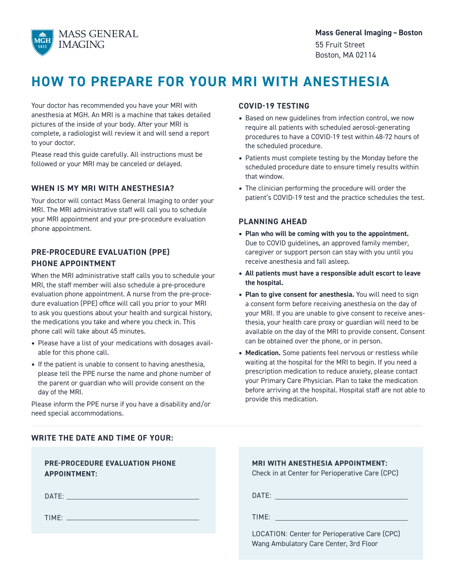

# **HOW TO PREPARE FOR YOUR MRI WITH ANESTHESIA**

Your doctor has recommended you have your MRI with anesthesia at MGH. An MRI is a machine that takes detailed pictures of the inside of your body. After your MRI is complete, a radiologist will review it and will send a report to your doctor.

Please read this guide carefully. All instructions must be followed or your MRI may be canceled or delayed.

## **WHEN IS MY MRI WITH ANESTHESIA?**

Your doctor will contact Mass General Imaging to order your MRI. The MRI administrative staff will call you to schedule your MRI appointment and your pre-procedure evaluation phone appointment.

# **PRE-PROCEDURE EVALUATION (PPE) PHONE APPOINTMENT**

When the MRI administrative staff calls you to schedule your MRI, the staff member will also schedule a pre-procedure evaluation phone appointment. A nurse from the pre-procedure evaluation (PPE) office will call you prior to your MRI to ask you questions about your health and surgical history, the medications you take and where you check in. This phone call will take about 45 minutes.

- Please have a list of your medications with dosages available for this phone call.
- If the patient is unable to consent to having anesthesia, please tell the PPE nurse the name and phone number of the parent or guardian who will provide consent on the day of the MRI.

Please inform the PPE nurse if you have a disability and/or need special accommodations.

# **COVID-19 TESTING**

- Based on new guidelines from infection control, we now require all patients with scheduled aerosol-generating procedures to have a COVID-19 test within 48-72 hours of the scheduled procedure.
- Patients must complete testing by the Monday before the scheduled procedure date to ensure timely results within that window.
- The clinician performing the procedure will order the patient's COVID-19 test and the practice schedules the test.

## **PLANNING AHEAD**

- **Plan who will be coming with you to the appointment.** Due to COVID guidelines, an approved family member, caregiver or support person can stay with you until you receive anesthesia and fall asleep.
- **All patients must have a responsible adult escort to leave the hospital.**
- **Plan to give consent for anesthesia.** You will need to sign a consent form before receiving anesthesia on the day of your MRI. If you are unable to give consent to receive anesthesia, your health care proxy or guardian will need to be available on the day of the MRI to provide consent. Consent can be obtained over the phone, or in person.
- **Medication.** Some patients feel nervous or restless while waiting at the hospital for the MRI to begin. If you need a prescription medication to reduce anxiety, please contact your Primary Care Physician. Plan to take the medication before arriving at the hospital. Hospital staff are not able to provide this medication.

## **WRITE THE DATE AND TIME OF YOUR:**

| <b>PRE-PROCEDURE EVALUATION PHONE</b><br><b>APPOINTMENT:</b>                                                   | <b>MRI WITH ANESTHESIA APPOINTMENT:</b><br>Check in at Center for Perioperative Care (CPC)                                                                                                                                     |
|----------------------------------------------------------------------------------------------------------------|--------------------------------------------------------------------------------------------------------------------------------------------------------------------------------------------------------------------------------|
| DATE: 2008 2010 2010 2021 2022 2023 2024 2022 2022 2023 2024 2022 2023 2024 2022 2023 2024 2022 2023 2024 2022 | DATE: New York State State State State State State State State State State State State State State State State State State State State State State State State State State State State State State State State State State Sta |
|                                                                                                                | TIME: TIME:                                                                                                                                                                                                                    |
|                                                                                                                | LOCATION: Center for Perioperative Care (CPC)<br>Wang Ambulatory Care Center, 3rd Floor                                                                                                                                        |